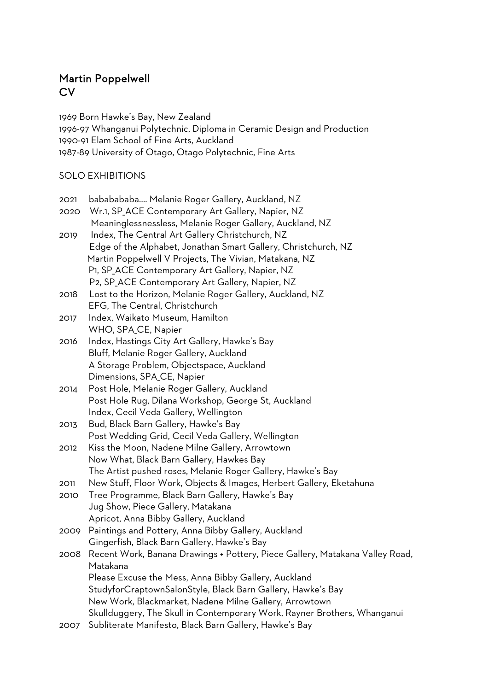## Martin Poppelwell **CV**

1969 Born Hawke's Bay, New Zealand 1996-97 Whanganui Polytechnic, Diploma in Ceramic Design and Production 1990-91 Elam School of Fine Arts, Auckland 1987-89 University of Otago, Otago Polytechnic, Fine Arts

## SOLO EXHIBITIONS

| 2021 | bababababa Melanie Roger Gallery, Auckland, NZ                               |
|------|------------------------------------------------------------------------------|
| 2020 | Wr.1, SP_ACE Contemporary Art Gallery, Napier, NZ                            |
|      | Meaninglessnessless, Melanie Roger Gallery, Auckland, NZ                     |
| 2019 | Index, The Central Art Gallery Christchurch, NZ                              |
|      | Edge of the Alphabet, Jonathan Smart Gallery, Christchurch, NZ               |
|      | Martin Poppelwell V Projects, The Vivian, Matakana, NZ                       |
|      | P1, SP_ACE Contemporary Art Gallery, Napier, NZ                              |
|      | P2, SP_ACE Contemporary Art Gallery, Napier, NZ                              |
| 2018 | Lost to the Horizon, Melanie Roger Gallery, Auckland, NZ                     |
|      | EFG, The Central, Christchurch                                               |
| 2017 | Index, Waikato Museum, Hamilton                                              |
|      | WHO, SPA <sub>_CE</sub> , Napier                                             |
| 2016 | Index, Hastings City Art Gallery, Hawke's Bay                                |
|      | Bluff, Melanie Roger Gallery, Auckland                                       |
|      | A Storage Problem, Objectspace, Auckland                                     |
|      | Dimensions, SPA <sub>_CE</sub> , Napier                                      |
| 2014 | Post Hole, Melanie Roger Gallery, Auckland                                   |
|      | Post Hole Rug, Dilana Workshop, George St, Auckland                          |
|      | Index, Cecil Veda Gallery, Wellington                                        |
| 2013 | Bud, Black Barn Gallery, Hawke's Bay                                         |
|      | Post Wedding Grid, Cecil Veda Gallery, Wellington                            |
| 2012 | Kiss the Moon, Nadene Milne Gallery, Arrowtown                               |
|      | Now What, Black Barn Gallery, Hawkes Bay                                     |
|      | The Artist pushed roses, Melanie Roger Gallery, Hawke's Bay                  |
| 2011 | New Stuff, Floor Work, Objects & Images, Herbert Gallery, Eketahuna          |
| 2010 | Tree Programme, Black Barn Gallery, Hawke's Bay                              |
|      | Jug Show, Piece Gallery, Matakana                                            |
|      | Apricot, Anna Bibby Gallery, Auckland                                        |
| 2009 | Paintings and Pottery, Anna Bibby Gallery, Auckland                          |
|      | Gingerfish, Black Barn Gallery, Hawke's Bay                                  |
| 2008 | Recent Work, Banana Drawings + Pottery, Piece Gallery, Matakana Valley Road, |
|      | Matakana                                                                     |
|      | Please Excuse the Mess, Anna Bibby Gallery, Auckland                         |
|      | StudyforCraptownSalonStyle, Black Barn Gallery, Hawke's Bay                  |
|      | New Work, Blackmarket, Nadene Milne Gallery, Arrowtown                       |
|      | Skullduggery, The Skull in Contemporary Work, Rayner Brothers, Whanganui     |
| 2007 | Subliterate Manifesto, Black Barn Gallery, Hawke's Bay                       |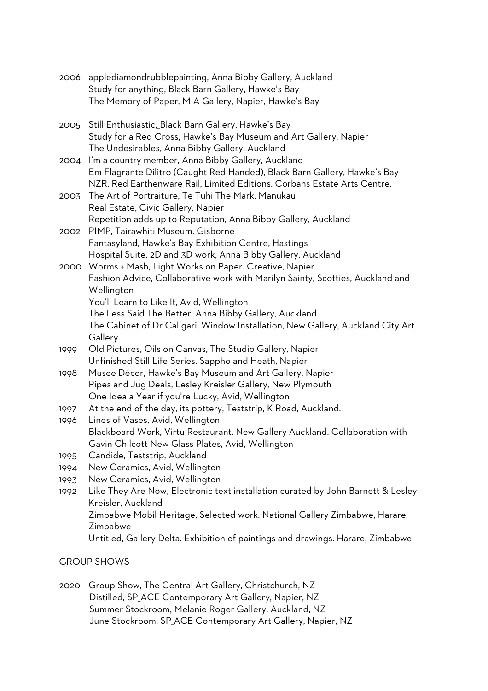|      | 2006 applediamondrubblepainting, Anna Bibby Gallery, Auckland                                                   |
|------|-----------------------------------------------------------------------------------------------------------------|
|      | Study for anything, Black Barn Gallery, Hawke's Bay                                                             |
|      | The Memory of Paper, MIA Gallery, Napier, Hawke's Bay                                                           |
|      | 2005 Still Enthusiastic, Black Barn Gallery, Hawke's Bay                                                        |
|      | Study for a Red Cross, Hawke's Bay Museum and Art Gallery, Napier                                               |
|      | The Undesirables, Anna Bibby Gallery, Auckland                                                                  |
| 2004 | I'm a country member, Anna Bibby Gallery, Auckland                                                              |
|      | Em Flagrante Dilitro (Caught Red Handed), Black Barn Gallery, Hawke's Bay                                       |
|      | NZR, Red Earthenware Rail, Limited Editions. Corbans Estate Arts Centre.                                        |
| 2003 | The Art of Portraiture, Te Tuhi The Mark, Manukau                                                               |
|      | Real Estate, Civic Gallery, Napier                                                                              |
|      | Repetition adds up to Reputation, Anna Bibby Gallery, Auckland                                                  |
|      | 2002 PIMP, Tairawhiti Museum, Gisborne                                                                          |
|      | Fantasyland, Hawke's Bay Exhibition Centre, Hastings                                                            |
|      | Hospital Suite, 2D and 3D work, Anna Bibby Gallery, Auckland                                                    |
|      | 2000 Worms + Mash, Light Works on Paper. Creative, Napier                                                       |
|      | Fashion Advice, Collaborative work with Marilyn Sainty, Scotties, Auckland and                                  |
|      | Wellington                                                                                                      |
|      | You'll Learn to Like It, Avid, Wellington                                                                       |
|      | The Less Said The Better, Anna Bibby Gallery, Auckland                                                          |
|      | The Cabinet of Dr Caligari, Window Installation, New Gallery, Auckland City Art                                 |
|      | Gallery                                                                                                         |
| 1999 | Old Pictures, Oils on Canvas, The Studio Gallery, Napier                                                        |
|      | Unfinished Still Life Series. Sappho and Heath, Napier                                                          |
| 1998 | Musee Décor, Hawke's Bay Museum and Art Gallery, Napier                                                         |
|      | Pipes and Jug Deals, Lesley Kreisler Gallery, New Plymouth<br>One Idea a Year if you're Lucky, Avid, Wellington |
| 1997 | At the end of the day, its pottery, Teststrip, K Road, Auckland.                                                |
| 1996 | Lines of Vases, Avid, Wellington                                                                                |
|      | Blackboard Work, Virtu Restaurant. New Gallery Auckland. Collaboration with                                     |
|      | Gavin Chilcott New Glass Plates, Avid, Wellington                                                               |
| 1995 | Candide, Teststrip, Auckland                                                                                    |
| 1994 | New Ceramics, Avid, Wellington                                                                                  |
| 1993 | New Ceramics, Avid, Wellington                                                                                  |
| 1992 | Like They Are Now, Electronic text installation curated by John Barnett & Lesley                                |
|      | Kreisler, Auckland                                                                                              |
|      | Zimbabwe Mobil Heritage, Selected work. National Gallery Zimbabwe, Harare,                                      |
|      | Zimbabwe                                                                                                        |
|      | Untitled, Gallery Delta. Exhibition of paintings and drawings. Harare, Zimbabwe                                 |
|      |                                                                                                                 |

## GROUP SHOWS

2020 Group Show, The Central Art Gallery, Christchurch, NZ Distilled, SP\_ACE Contemporary Art Gallery, Napier, NZ Summer Stockroom, Melanie Roger Gallery, Auckland, NZ June Stockroom, SP\_ACE Contemporary Art Gallery, Napier, NZ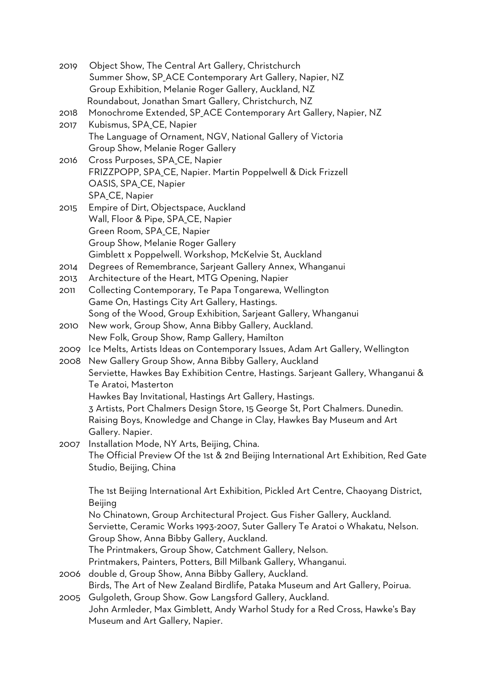| 2019 | Object Show, The Central Art Gallery, Christchurch                                                                            |
|------|-------------------------------------------------------------------------------------------------------------------------------|
|      | Summer Show, SP_ACE Contemporary Art Gallery, Napier, NZ                                                                      |
|      | Group Exhibition, Melanie Roger Gallery, Auckland, NZ                                                                         |
|      | Roundabout, Jonathan Smart Gallery, Christchurch, NZ                                                                          |
| 2018 | Monochrome Extended, SP_ACE Contemporary Art Gallery, Napier, NZ                                                              |
| 2017 | Kubismus, SPA <sub>_CE</sub> , Napier                                                                                         |
|      | The Language of Ornament, NGV, National Gallery of Victoria                                                                   |
|      | Group Show, Melanie Roger Gallery                                                                                             |
| 2016 | Cross Purposes, SPA_CE, Napier                                                                                                |
|      | FRIZZPOPP, SPA_CE, Napier. Martin Poppelwell & Dick Frizzell                                                                  |
|      | OASIS, SPA_CE, Napier                                                                                                         |
|      | SPA <sub>_CE</sub> , Napier                                                                                                   |
| 2015 | Empire of Dirt, Objectspace, Auckland                                                                                         |
|      | Wall, Floor & Pipe, SPA_CE, Napier                                                                                            |
|      | Green Room, SPA_CE, Napier                                                                                                    |
|      | Group Show, Melanie Roger Gallery                                                                                             |
|      | Gimblett x Poppelwell. Workshop, McKelvie St, Auckland                                                                        |
| 2014 | Degrees of Remembrance, Sarjeant Gallery Annex, Whanganui                                                                     |
| 2013 | Architecture of the Heart, MTG Opening, Napier                                                                                |
| 2011 | Collecting Contemporary, Te Papa Tongarewa, Wellington                                                                        |
|      | Game On, Hastings City Art Gallery, Hastings.                                                                                 |
|      | Song of the Wood, Group Exhibition, Sarjeant Gallery, Whanganui                                                               |
|      | New work, Group Show, Anna Bibby Gallery, Auckland.                                                                           |
| 2010 |                                                                                                                               |
|      | New Folk, Group Show, Ramp Gallery, Hamilton<br>Ice Melts, Artists Ideas on Contemporary Issues, Adam Art Gallery, Wellington |
| 2009 |                                                                                                                               |
| 2008 | New Gallery Group Show, Anna Bibby Gallery, Auckland                                                                          |
|      | Serviette, Hawkes Bay Exhibition Centre, Hastings. Sarjeant Gallery, Whanganui &<br>Te Aratoi, Masterton                      |
|      |                                                                                                                               |
|      | Hawkes Bay Invitational, Hastings Art Gallery, Hastings.                                                                      |
|      | 3 Artists, Port Chalmers Design Store, 15 George St, Port Chalmers. Dunedin.                                                  |
|      | Raising Boys, Knowledge and Change in Clay, Hawkes Bay Museum and Art                                                         |
|      | Gallery. Napier.                                                                                                              |
| 2007 | Installation Mode, NY Arts, Beijing, China.                                                                                   |
|      | The Official Preview Of the 1st & 2nd Beijing International Art Exhibition, Red Gate                                          |
|      | Studio, Beijing, China                                                                                                        |
|      |                                                                                                                               |
|      | The 1st Beijing International Art Exhibition, Pickled Art Centre, Chaoyang District,                                          |
|      | <b>Beijing</b>                                                                                                                |
|      | No Chinatown, Group Architectural Project. Gus Fisher Gallery, Auckland.                                                      |
|      | Serviette, Ceramic Works 1993-2007, Suter Gallery Te Aratoi o Whakatu, Nelson.                                                |
|      | Group Show, Anna Bibby Gallery, Auckland.                                                                                     |
|      | The Printmakers, Group Show, Catchment Gallery, Nelson.                                                                       |
|      | Printmakers, Painters, Potters, Bill Milbank Gallery, Whanganui.                                                              |
| 2006 | double d, Group Show, Anna Bibby Gallery, Auckland.                                                                           |
|      | Birds, The Art of New Zealand Birdlife, Pataka Museum and Art Gallery, Poirua.                                                |
| 2005 | Gulgoleth, Group Show. Gow Langsford Gallery, Auckland.                                                                       |
|      | John Armleder, Max Gimblett, Andy Warhol Study for a Red Cross, Hawke's Bay                                                   |
|      | Museum and Art Gallery, Napier.                                                                                               |